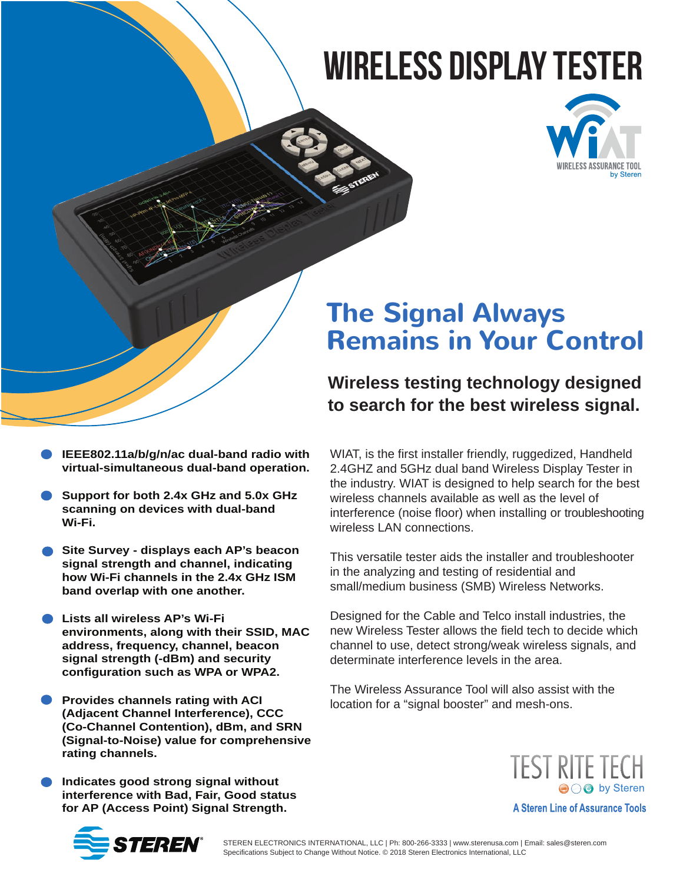# wireless Display Tester



## **The Signal Always Remains in Your Control**

### **Wireless testing technology designed to search for the best wireless signal.**

- **IEEE802.11a/b/g/n/ac dual-band radio with virtual-simultaneous dual-band operation.**
- **Support for both 2.4x GHz and 5.0x GHz scanning on devices with dual-band Wi-Fi.**
- **Site Survey displays each AP's beacon signal strength and channel, indicating how Wi-Fi channels in the 2.4x GHz ISM band overlap with one another.**
- **Lists all wireless AP's Wi-Fi environments, along with their SSID, MAC address, frequency, channel, beacon signal strength (-dBm) and security configuration such as WPA or WPA2.**
- **Provides channels rating with ACI (Adjacent Channel Interference), CCC (Co-Channel Contention), dBm, and SRN (Signal-to-Noise) value for comprehensive rating channels.**
- **Indicates good strong signal without interference with Bad, Fair, Good status for AP (Access Point) Signal Strength.**

WIAT, is the first installer friendly, ruggedized, Handheld 2.4GHZ and 5GHz dual band Wireless Display Tester in the industry. WIAT is designed to help search for the best wireless channels available as well as the level of interference (noise floor) when installing or troubleshooting wireless LAN connections.

This versatile tester aids the installer and troubleshooter in the analyzing and testing of residential and small/medium business (SMB) Wireless Networks.

Designed for the Cable and Telco install industries, the new Wireless Tester allows the field tech to decide which channel to use, detect strong/weak wireless signals, and determinate interference levels in the area.

The Wireless Assurance Tool will also assist with the location for a "signal booster" and mesh-ons.